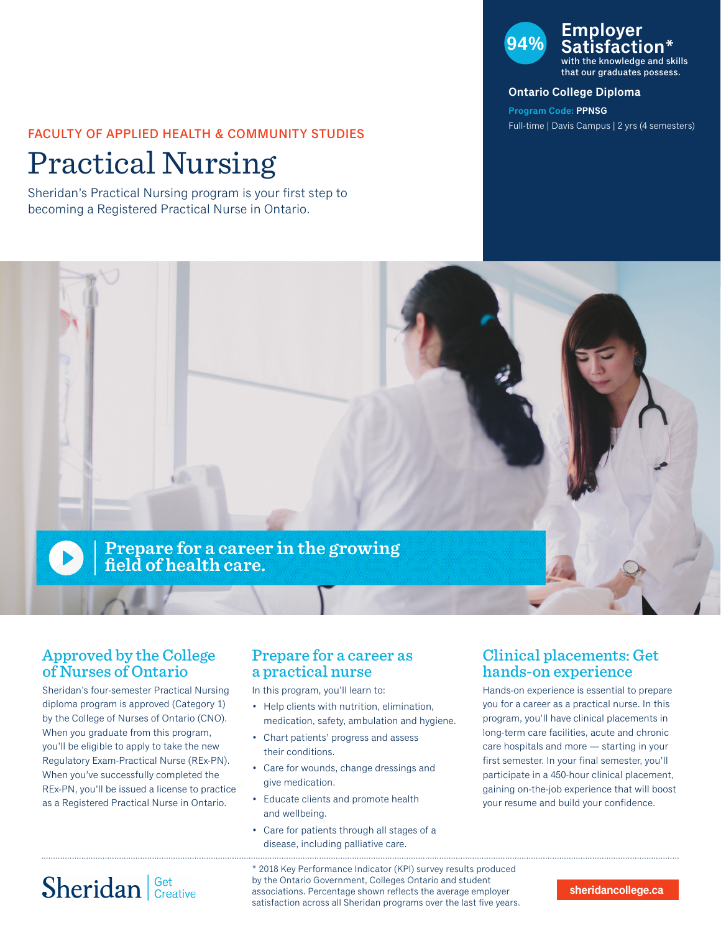### FACULTY OF APPLIED HEALTH & COMMUNITY STUDIES

# Practical Nursing

Sheridan's Practical Nursing program is your first step to becoming a Registered Practical Nurse in Ontario.



with the knowledge and skills that our graduates possess.

#### **Ontario College Diploma**

**Program Code: PPNSG** Full-time | Davis Campus | 2 yrs (4 semesters)



## Approved by the College of Nurses of Ontario

Sheridan's four-semester Practical Nursing diploma program is approved (Category 1) by the College of Nurses of Ontario (CNO). When you graduate from this program, you'll be eligible to apply to take the new Regulatory Exam-Practical Nurse (REx-PN). When you've successfully completed the REx-PN, you'll be issued a license to practice as a Registered Practical Nurse in Ontario.

### Prepare for a career as a practical nurse

In this program, you'll learn to:

- Help clients with nutrition, elimination, medication, safety, ambulation and hygiene.
- Chart patients' progress and assess their conditions.
- Care for wounds, change dressings and give medication.
- Educate clients and promote health and wellbeing.
- Care for patients through all stages of a disease, including palliative care.

## Clinical placements: Get hands-on experience

Hands-on experience is essential to prepare you for a career as a practical nurse. In this program, you'll have clinical placements in long-term care facilities, acute and chronic care hospitals and more — starting in your first semester. In your final semester, you'll participate in a 450-hour clinical placement, gaining on-the-job experience that will boost your resume and build your confidence.

# Sheridan Get Creative

\* 2018 Key Performance Indicator (KPI) survey results produced by the Ontario Government, Colleges Ontario and student associations. Percentage shown reflects the average employer satisfaction across all Sheridan programs over the last five years.